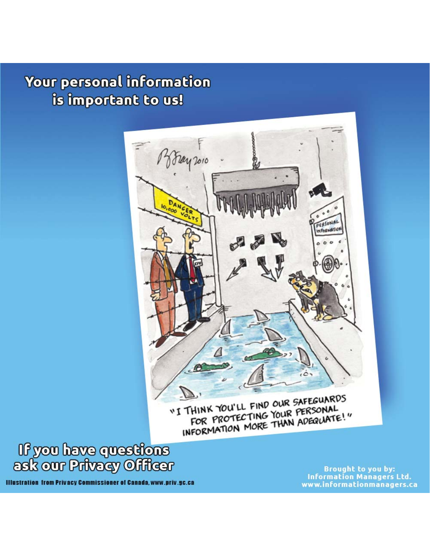## Your personal information is important to us!



"I THINK YOU'LL FIND OUR SAFEGUARDS FOR PROTECTING YOUR PERSONAL<br>INFORMATION MORE THAN ADEQUATE!"



**Illustration from Privacy Commissioner of Canada, www.priv.gc.ca** 

**Brought to you by: Information Managers Ltd.** www.informationmanagers.ca